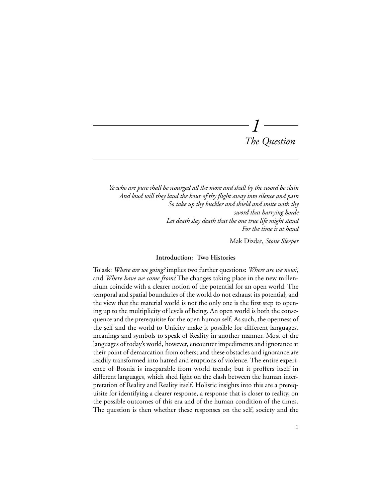*Ye who are pure shall be scourged all the more and shall by the sword be slain And loud will they laud the hour of thy flight away into silence and pain So take up thy buckler and shield and smite with thy sword that harrying horde Let death slay death that the one true life might stand For the time is at hand*

Mak Dizdar, *Stone Sleeper*

# **Introduction: Two Histories**

To ask: *Where are we going?* implies two further questions: *Where are we now?*, and *Where have we come from?* The changes taking place in the new millennium coincide with a clearer notion of the potential for an open world. The temporal and spatial boundaries of the world do not exhaust its potential; and the view that the material world is not the only one is the first step to opening up to the multiplicity of levels of being. An open world is both the consequence and the prerequisite for the open human self. As such, the openness of the self and the world to Unicity make it possible for different languages, meanings and symbols to speak of Reality in another manner. Most of the languages of today's world, however, encounter impediments and ignorance at their point of demarcation from others; and these obstacles and ignorance are readily transformed into hatred and eruptions of violence. The entire experience of Bosnia is inseparable from world trends; but it proffers itself in different languages, which shed light on the clash between the human interpretation of Reality and Reality itself. Holistic insights into this are a prerequisite for identifying a clearer response, a response that is closer to reality, on the possible outcomes of this era and of the human condition of the times. The question is then whether these responses on the self, society and the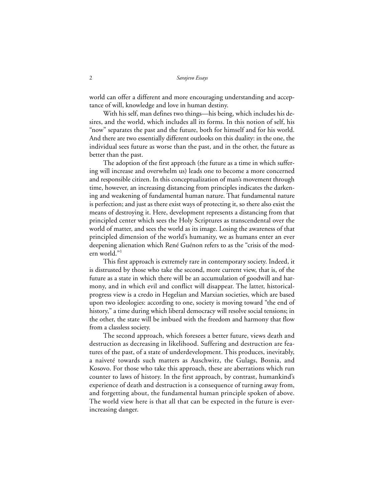world can offer a different and more encouraging understanding and acceptance of will, knowledge and love in human destiny.

With his self, man defines two things—his being, which includes his desires, and the world, which includes all its forms. In this notion of self, his "now" separates the past and the future, both for himself and for his world. And there are two essentially different outlooks on this duality: in the one, the individual sees future as worse than the past, and in the other, the future as better than the past.

The adoption of the first approach (the future as a time in which suffering will increase and overwhelm us) leads one to become a more concerned and responsible citizen. In this conceptualization of man's movement through time, however, an increasing distancing from principles indicates the darkening and weakening of fundamental human nature. That fundamental nature is perfection; and just as there exist ways of protecting it, so there also exist the means of destroying it. Here, development represents a distancing from that principled center which sees the Holy Scriptures as transcendental over the world of matter, and sees the world as its image. Losing the awareness of that principled dimension of the world's humanity, we as humans enter an ever deepening alienation which René Guénon refers to as the "crisis of the modern world."1

This first approach is extremely rare in contemporary society. Indeed, it is distrusted by those who take the second, more current view, that is, of the future as a state in which there will be an accumulation of goodwill and harmony, and in which evil and conflict will disappear. The latter, historicalprogress view is a credo in Hegelian and Marxian societies, which are based upon two ideologies: according to one, society is moving toward "the end of history," a time during which liberal democracy will resolve social tensions; in the other, the state will be imbued with the freedom and harmony that flow from a classless society.

The second approach, which foresees a better future, views death and destruction as decreasing in likelihood. Suffering and destruction are features of the past, of a state of underdevelopment. This produces, inevitably, a naiveté towards such matters as Auschwitz, the Gulags, Bosnia, and Kosovo. For those who take this approach, these are aberrations which run counter to laws of history. In the first approach, by contrast, humankind's experience of death and destruction is a consequence of turning away from, and forgetting about, the fundamental human principle spoken of above. The world view here is that all that can be expected in the future is everincreasing danger.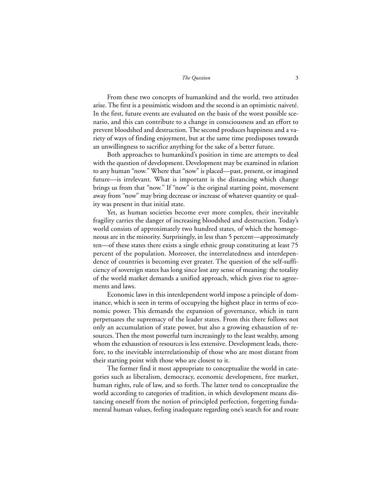From these two concepts of humankind and the world, two attitudes arise. The first is a pessimistic wisdom and the second is an optimistic naiveté. In the first, future events are evaluated on the basis of the worst possible scenario, and this can contribute to a change in consciousness and an effort to prevent bloodshed and destruction. The second produces happiness and a variety of ways of finding enjoyment, but at the same time predisposes towards an unwillingness to sacrifice anything for the sake of a better future.

Both approaches to humankind's position in time are attempts to deal with the question of development. Development may be examined in relation to any human "now." Where that "now" is placed—past, present, or imagined future—is irrelevant. What is important is the distancing which change brings us from that "now." If "now" is the original starting point, movement away from "now" may bring decrease or increase of whatever quantity or quality was present in that initial state.

Yet, as human societies become ever more complex, their inevitable fragility carries the danger of increasing bloodshed and destruction. Today's world consists of approximately two hundred states, of which the homogeneous are in the minority. Surprisingly, in less than 5 percent—approximately ten—of these states there exists a single ethnic group constituting at least 75 percent of the population. Moreover, the interrelatedness and interdependence of countries is becoming ever greater. The question of the self-sufficiency of sovereign states has long since lost any sense of meaning: the totality of the world market demands a unified approach, which gives rise to agreements and laws.

Economic laws in this interdependent world impose a principle of dominance, which is seen in terms of occupying the highest place in terms of economic power. This demands the expansion of governance, which in turn perpetuates the supremacy of the leader states. From this there follows not only an accumulation of state power, but also a growing exhaustion of resources. Then the most powerful turn increasingly to the least wealthy, among whom the exhaustion of resources is less extensive. Development leads, therefore, to the inevitable interrelationship of those who are most distant from their starting point with those who are closest to it.

The former find it most appropriate to conceptualize the world in categories such as liberalism, democracy, economic development, free market, human rights, rule of law, and so forth. The latter tend to conceptualize the world according to categories of tradition, in which development means distancing oneself from the notion of principled perfection, forgetting fundamental human values, feeling inadequate regarding one's search for and route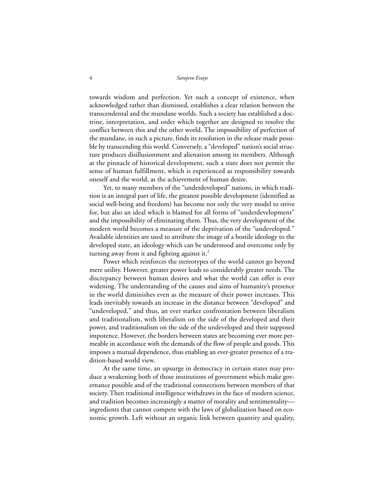towards wisdom and perfection. Yet such a concept of existence, when acknowledged rather than dismissed, establishes a clear relation between the transcendental and the mundane worlds. Such a society has established a doctrine, interpretation, and order which together are designed to resolve the conflict between this and the other world. The impossibility of perfection of the mundane, in such a picture, finds its resolution in the release made possible by transcending this world. Conversely, a "developed" nation's social structure produces disillusionment and alienation among its members. Although at the pinnacle of historical development, such a state does not permit the sense of human fulfillment, which is experienced as responsibility towards oneself and the world, as the achievement of human desire.

Yet, to many members of the "underdeveloped" nations, in which tradition is an integral part of life, the greatest possible development (identified as social well-being and freedom) has become not only the very model to strive for, but also an ideal which is blamed for all forms of "underdevelopment" and the impossibility of eliminating them. Thus, the very development of the modern world becomes a measure of the deprivation of the "undeveloped." Available identities are used to attribute the image of a hostile ideology to the developed state, an ideology which can be understood and overcome only by turning away from it and fighting against it.<sup>2</sup>

Power which reinforces the stereotypes of the world cannot go beyond mere utility. However, greater power leads to considerably greater needs. The discrepancy between human desires and what the world can offer is ever widening. The understanding of the causes and aims of humanity's presence in the world diminishes even as the measure of their power increases. This leads inevitably towards an increase in the distance between "developed" and "undeveloped," and thus, an ever starker confrontation between liberalism and traditionalism, with liberalism on the side of the developed and their power, and traditionalism on the side of the undeveloped and their supposed impotence. However, the borders between states are becoming ever more permeable in accordance with the demands of the flow of people and goods. This imposes a mutual dependence, thus enabling an ever-greater presence of a tradition-based world view.

At the same time, an upsurge in democracy in certain states may produce a weakening both of those institutions of government which make governance possible and of the traditional connections between members of that society. Then traditional intelligence withdraws in the face of modern science, and tradition becomes increasingly a matter of morality and sentimentality ingredients that cannot compete with the laws of globalization based on economic growth. Left without an organic link between quantity and quality,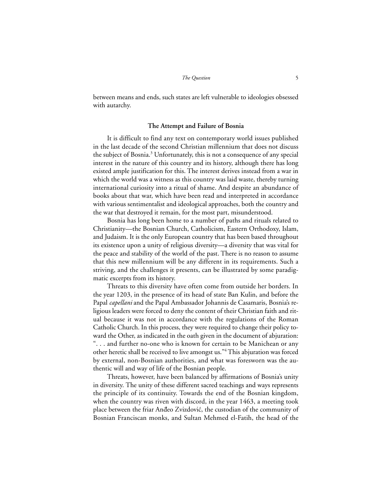between means and ends, such states are left vulnerable to ideologies obsessed with autarchy.

# **The Attempt and Failure of Bosnia**

It is difficult to find any text on contemporary world issues published in the last decade of the second Christian millennium that does not discuss the subject of Bosnia.3 Unfortunately, this is not a consequence of any special interest in the nature of this country and its history, although there has long existed ample justification for this. The interest derives instead from a war in which the world was a witness as this country was laid waste, thereby turning international curiosity into a ritual of shame. And despite an abundance of books about that war, which have been read and interpreted in accordance with various sentimentalist and ideological approaches, both the country and the war that destroyed it remain, for the most part, misunderstood.

Bosnia has long been home to a number of paths and rituals related to Christianity—the Bosnian Church, Catholicism, Eastern Orthodoxy, Islam, and Judaism. It is the only European country that has been based throughout its existence upon a unity of religious diversity—a diversity that was vital for the peace and stability of the world of the past. There is no reason to assume that this new millennium will be any different in its requirements. Such a striving, and the challenges it presents, can be illustrated by some paradigmatic excerpts from its history.

Threats to this diversity have often come from outside her borders. In the year 1203, in the presence of its head of state Ban Kulin, and before the Papal *capellani* and the Papal Ambassador Johannis de Casamaris, Bosnia's religious leaders were forced to deny the content of their Christian faith and ritual because it was not in accordance with the regulations of the Roman Catholic Church. In this process, they were required to change their policy toward the Other, as indicated in the oath given in the document of abjuration: ". . . and further no-one who is known for certain to be Manichean or any other heretic shall be received to live amongst us."4 This abjuration was forced by external, non-Bosnian authorities, and what was foresworn was the authentic will and way of life of the Bosnian people.

Threats, however, have been balanced by affirmations of Bosnia's unity in diversity. The unity of these different sacred teachings and ways represents the principle of its continuity. Towards the end of the Bosnian kingdom, when the country was riven with discord, in the year 1463, a meeting took place between the friar Andeo Zvizdovic, the custodian of the community of Bosnian Franciscan monks, and Sultan Mehmed el-Fatih, the head of the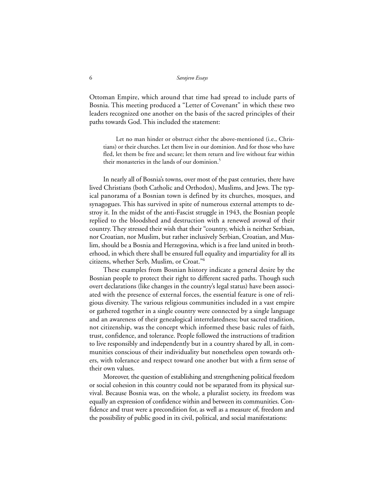Ottoman Empire, which around that time had spread to include parts of Bosnia. This meeting produced a "Letter of Covenant" in which these two leaders recognized one another on the basis of the sacred principles of their paths towards God. This included the statement:

Let no man hinder or obstruct either the above-mentioned (i.e., Christians) or their churches. Let them live in our dominion. And for those who have fled, let them be free and secure; let them return and live without fear within their monasteries in the lands of our dominion.5

In nearly all of Bosnia's towns, over most of the past centuries, there have lived Christians (both Catholic and Orthodox), Muslims, and Jews. The typical panorama of a Bosnian town is defined by its churches, mosques, and synagogues. This has survived in spite of numerous external attempts to destroy it. In the midst of the anti-Fascist struggle in 1943, the Bosnian people replied to the bloodshed and destruction with a renewed avowal of their country. They stressed their wish that their "country, which is neither Serbian, nor Croatian, nor Muslim, but rather inclusively Serbian, Croatian, and Muslim, should be a Bosnia and Herzegovina, which is a free land united in brotherhood, in which there shall be ensured full equality and impartiality for all its citizens, whether Serb, Muslim, or Croat."6

These examples from Bosnian history indicate a general desire by the Bosnian people to protect their right to different sacred paths. Though such overt declarations (like changes in the country's legal status) have been associated with the presence of external forces, the essential feature is one of religious diversity. The various religious communities included in a vast empire or gathered together in a single country were connected by a single language and an awareness of their genealogical interrelatedness; but sacred tradition, not citizenship, was the concept which informed these basic rules of faith, trust, confidence, and tolerance. People followed the instructions of tradition to live responsibly and independently but in a country shared by all, in communities conscious of their individuality but nonetheless open towards others, with tolerance and respect toward one another but with a firm sense of their own values.

Moreover, the question of establishing and strengthening political freedom or social cohesion in this country could not be separated from its physical survival. Because Bosnia was, on the whole, a pluralist society, its freedom was equally an expression of confidence within and between its communities. Confidence and trust were a precondition for, as well as a measure of, freedom and the possibility of public good in its civil, political, and social manifestations: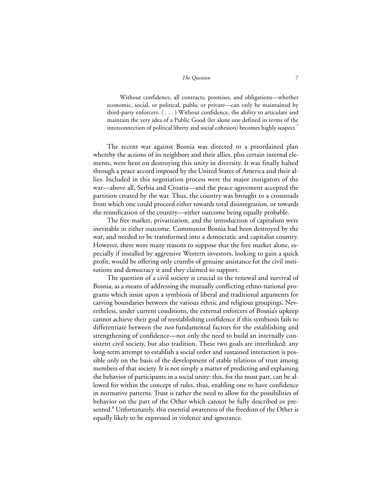Without confidence, all contracts, promises, and obligations—whether economic, social, or political, public or private—can only be maintained by third-party enforcers. ( . . . ) Without confidence, the ability to articulate and maintain the very idea of a Public Good (let alone one defined in terms of the interconnection of political liberty and social cohesion) becomes highly suspect.<sup>7</sup>

The recent war against Bosnia was directed to a preordained plan whereby the actions of its neighbors and their allies, plus certain internal elements, were bent on destroying this unity in diversity. It was finally halted through a peace accord imposed by the United States of America and their allies. Included in this negotiation process were the major instigators of the war—above all, Serbia and Croatia—and the peace agreement accepted the partition created by the war. Thus, the country was brought to a crossroads from which one could proceed either towards total disintegration, or towards the reunification of the country—either outcome being equally probable.

The free market, privatization, and the introduction of capitalism were inevitable in either outcome. Communist Bosnia had been destroyed by the war, and needed to be transformed into a democratic and capitalist country. However, there were many reasons to suppose that the free market alone, especially if installed by aggressive Western investors, looking to gain a quick profit, would be offering only crumbs of genuine assistance for the civil institutions and democracy it and they claimed to support.

The question of a civil society is crucial to the renewal and survival of Bosnia, as a means of addressing the mutually conflicting ethno-national programs which insist upon a symbiosis of liberal and traditional arguments for carving boundaries between the various ethnic and religious groupings. Nevertheless, under current conditions, the external enforcers of Bosnia's upkeep cannot achieve their goal of reestablishing confidence if this symbiosis fails to differentiate between the *two* fundamental factors for the establishing and strengthening of confidence—not only the need to build an internally consistent civil society, but also tradition. These two goals are interlinked: any long-term attempt to establish a social order and sustained interaction is possible only on the basis of the development of stable relations of trust among members of that society. It is not simply a matter of predicting and explaining the behavior of participants in a social unity: this, for the most part, can be allowed for within the concept of rules, thus, enabling one to have confidence in normative patterns. Trust is rather the need to allow for the possibilities of behavior on the part of the Other which cannot be fully described or presented.<sup>8</sup> Unfortunately, this essential awareness of the freedom of the Other is equally likely to be expressed in violence and ignorance.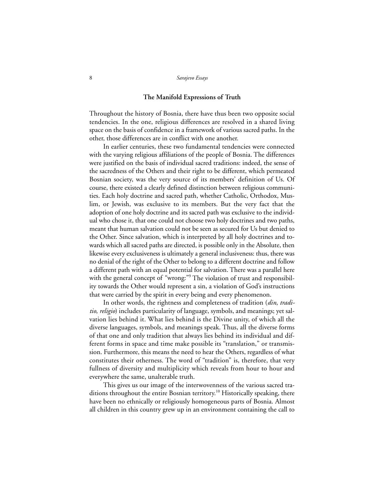## **The Manifold Expressions of Truth**

Throughout the history of Bosnia, there have thus been two opposite social tendencies. In the one, religious differences are resolved in a shared living space on the basis of confidence in a framework of various sacred paths. In the other, those differences are in conflict with one another.

In earlier centuries, these two fundamental tendencies were connected with the varying religious affiliations of the people of Bosnia. The differences were justified on the basis of individual sacred traditions: indeed, the sense of the sacredness of the Others and their right to be different, which permeated Bosnian society, was the very source of its members' definition of Us. Of course, there existed a clearly defined distinction between religious communities. Each holy doctrine and sacred path, whether Catholic, Orthodox, Muslim, or Jewish, was exclusive to its members. But the very fact that the adoption of one holy doctrine and its sacred path was exclusive to the individual who chose it, that one could not choose two holy doctrines and two paths, meant that human salvation could not be seen as secured for Us but denied to the Other. Since salvation, which is interpreted by all holy doctrines and towards which all sacred paths are directed, is possible only in the Absolute, then likewise every exclusiveness is ultimately a general inclusiveness: thus, there was no denial of the right of the Other to belong to a different doctrine and follow a different path with an equal potential for salvation. There was a parallel here with the general concept of "wrong:"<sup>9</sup> The violation of trust and responsibility towards the Other would represent a sin, a violation of God's instructions that were carried by the spirit in every being and every phenomenon.

In other words, the rightness and completeness of tradition (*din*, *traditio*, *religio*) includes particularity of language, symbols, and meanings; yet salvation lies behind it. What lies behind is the Divine unity, of which all the diverse languages, symbols, and meanings speak. Thus, all the diverse forms of that one and only tradition that always lies behind its individual and different forms in space and time make possible its "translation," or transmission. Furthermore, this means the need to hear the Others, regardless of what constitutes their otherness. The word of "tradition" is, therefore, that very fullness of diversity and multiplicity which reveals from hour to hour and everywhere the same, unalterable truth.

This gives us our image of the interwovenness of the various sacred traditions throughout the entire Bosnian territory.<sup>10</sup> Historically speaking, there have been no ethnically or religiously homogeneous parts of Bosnia. Almost all children in this country grew up in an environment containing the call to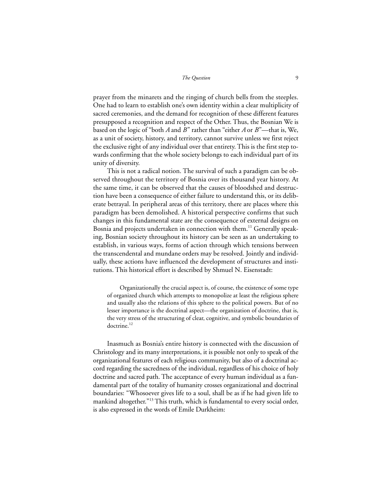prayer from the minarets and the ringing of church bells from the steeples. One had to learn to establish one's own identity within a clear multiplicity of sacred ceremonies, and the demand for recognition of these different features presupposed a recognition and respect of the Other. Thus, the Bosnian We is based on the logic of "both *A* and *B*" rather than "either *A* or *B*"—that is, We, as a unit of society, history, and territory, cannot survive unless we first reject the exclusive right of any individual over that entirety. This is the first step towards confirming that the whole society belongs to each individual part of its unity of diversity.

This is not a radical notion. The survival of such a paradigm can be observed throughout the territory of Bosnia over its thousand year history. At the same time, it can be observed that the causes of bloodshed and destruction have been a consequence of either failure to understand this, or its deliberate betrayal. In peripheral areas of this territory, there are places where this paradigm has been demolished. A historical perspective confirms that such changes in this fundamental state are the consequence of external designs on Bosnia and projects undertaken in connection with them.<sup>11</sup> Generally speaking, Bosnian society throughout its history can be seen as an undertaking to establish, in various ways, forms of action through which tensions between the transcendental and mundane orders may be resolved. Jointly and individually, these actions have influenced the development of structures and institutions. This historical effort is described by Shmuel N. Eisenstadt:

Organizationally the crucial aspect is, of course, the existence of some type of organized church which attempts to monopolize at least the religious sphere and usually also the relations of this sphere to the political powers. But of no lesser importance is the doctrinal aspect—the organization of doctrine, that is, the very stress of the structuring of clear, cognitive, and symbolic boundaries of doctrine.<sup>12</sup>

Inasmuch as Bosnia's entire history is connected with the discussion of Christology and its many interpretations, it is possible not only to speak of the organizational features of each religious community, but also of a doctrinal accord regarding the sacredness of the individual, regardless of his choice of holy doctrine and sacred path. The acceptance of every human individual as a fundamental part of the totality of humanity crosses organizational and doctrinal boundaries: "Whosoever gives life to a soul, shall be as if he had given life to mankind altogether."<sup>13</sup> This truth, which is fundamental to every social order, is also expressed in the words of Emile Durkheim: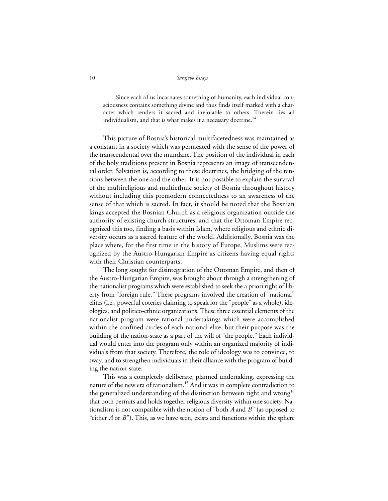Since each of us incarnates something of humanity, each individual consciousness contains something divine and thus finds itself marked with a character which renders it sacred and inviolable to others. Therein lies all individualism, and that is what makes it a necessary doctrine.<sup>14</sup>

This picture of Bosnia's historical multifacetedness was maintained as a constant in a society which was permeated with the sense of the power of the transcendental over the mundane. The position of the individual in each of the holy traditions present in Bosnia represents an image of transcendental order. Salvation is, according to these doctrines, the bridging of the tensions between the one and the other. It is not possible to explain the survival of the multireligious and multiethnic society of Bosnia throughout history without including this premodern connectedness to an awareness of the sense of that which is sacred. In fact, it should be noted that the Bosnian kings accepted the Bosnian Church as a religious organization outside the authority of existing church structures; and that the Ottoman Empire recognized this too, finding a basis within Islam, where religious and ethnic diversity occurs as a sacred feature of the world. Additionally, Bosnia was the place where, for the first time in the history of Europe, Muslims were recognized by the Austro-Hungarian Empire as citizens having equal rights with their Christian counterparts.

The long sought for disintegration of the Ottoman Empire, and then of the Austro-Hungarian Empire, was brought about through a strengthening of the nationalist programs which were established to seek the a priori right of liberty from "foreign rule." These programs involved the creation of "national" elites (i.e., powerful coteries claiming to speak for the "people" as a whole), ideologies, and politico-ethnic organizations. These three essential elements of the nationalist program were rational undertakings which were accomplished within the confined circles of each national elite, but their purpose was the building of the nation-state as a part of the will of "the people." Each individual would enter into the program only within an organized majority of individuals from that society. Therefore, the role of ideology was to convince, to sway, and to strengthen individuals in their alliance with the program of building the nation-state.

This was a completely deliberate, planned undertaking, expressing the nature of the new era of rationalism.15 And it was in complete contradiction to the generalized understanding of the distinction between right and wrong<sup>16</sup> that both permits and holds together religious diversity within one society. Nationalism is not compatible with the notion of "both *A* and *B*" (as opposed to "either *A* or *B*"). This, as we have seen, exists and functions within the sphere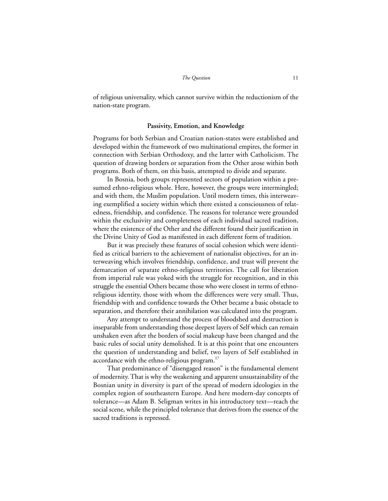of religious universality, which cannot survive within the reductionism of the nation-state program.

# **Passivity, Emotion, and Knowledge**

Programs for both Serbian and Croatian nation-states were established and developed within the framework of two multinational empires, the former in connection with Serbian Orthodoxy, and the latter with Catholicism. The question of drawing borders or separation from the Other arose within both programs. Both of them, on this basis, attempted to divide and separate.

In Bosnia, both groups represented sectors of population within a presumed ethno-religious whole. Here, however, the groups were intermingled; and with them, the Muslim population. Until modern times, this interweaving exemplified a society within which there existed a consciousness of relatedness, friendship, and confidence. The reasons for tolerance were grounded within the exclusivity and completeness of each individual sacred tradition, where the existence of the Other and the different found their justification in the Divine Unity of God as manifested in each different form of tradition.

But it was precisely these features of social cohesion which were identified as critical barriers to the achievement of nationalist objectives, for an interweaving which involves friendship, confidence, and trust will prevent the demarcation of separate ethno-religious territories. The call for liberation from imperial rule was yoked with the struggle for recognition, and in this struggle the essential Others became those who were closest in terms of ethnoreligious identity, those with whom the differences were very small. Thus, friendship with and confidence towards the Other became a basic obstacle to separation, and therefore their annihilation was calculated into the program.

Any attempt to understand the process of bloodshed and destruction is inseparable from understanding those deepest layers of Self which can remain unshaken even after the borders of social makeup have been changed and the basic rules of social unity demolished. It is at this point that one encounters the question of understanding and belief, two layers of Self established in accordance with the ethno-religious program.<sup>17</sup>

That predominance of "disengaged reason" is the fundamental element of modernity. That is why the weakening and apparent unsustainability of the Bosnian unity in diversity is part of the spread of modern ideologies in the complex region of southeastern Europe. And here modern-day concepts of tolerance—as Adam B. Seligman writes in his introductory text—reach the social scene, while the principled tolerance that derives from the essence of the sacred traditions is repressed.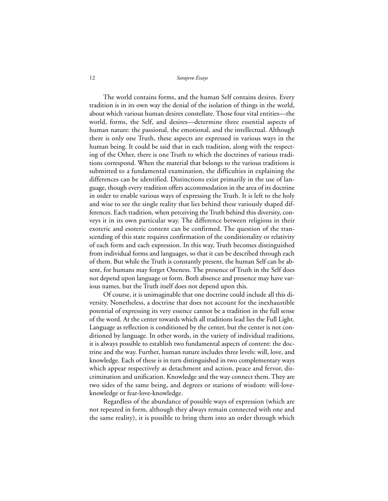The world contains forms, and the human Self contains desires. Every tradition is in its own way the denial of the isolation of things in the world, about which various human desires constellate. Those four vital entities—the world, forms, the Self, and desires—determine three essential aspects of human nature: the passional, the emotional, and the intellectual. Although there is only one Truth, these aspects are expressed in various ways in the human being. It could be said that in each tradition, along with the respecting of the Other, there is one Truth to which the doctrines of various traditions correspond. When the material that belongs to the various traditions is submitted to a fundamental examination, the difficulties in explaining the differences can be identified. Distinctions exist primarily in the use of language, though every tradition offers accommodation in the area of its doctrine in order to enable various ways of expressing the Truth. It is left to the holy and wise to see the single reality that lies behind these variously shaped differences. Each tradition, when perceiving the Truth behind this diversity, conveys it in its own particular way. The difference between religions in their exoteric and esoteric content can be confirmed. The question of the transcending of this state requires confirmation of the conditionality or relativity of each form and each expression. In this way, Truth becomes distinguished from individual forms and languages, so that it can be described through each of them. But while the Truth is constantly present, the human Self can be absent, for humans may forget Oneness. The presence of Truth in the Self does not depend upon language or form. Both absence and presence may have various names, but the Truth itself does not depend upon this.

Of course, it is unimaginable that one doctrine could include all this diversity. Nonetheless, a doctrine that does not account for the inexhaustible potential of expressing its very essence cannot be a tradition in the full sense of the word. At the center towards which all traditions lead lies the Full Light. Language as reflection is conditioned by the center, but the center is not conditioned by language. In other words, in the variety of individual traditions, it is always possible to establish two fundamental aspects of content: the doctrine and the way. Further, human nature includes three levels: will, love, and knowledge. Each of these is in turn distinguished in two complementary ways which appear respectively as detachment and action, peace and fervor, discrimination and unification. Knowledge and the way connect them. They are two sides of the same being, and degrees or stations of wisdom: will-loveknowledge or fear-love-knowledge.

Regardless of the abundance of possible ways of expression (which are not repeated in form, although they always remain connected with one and the same reality), it is possible to bring them into an order through which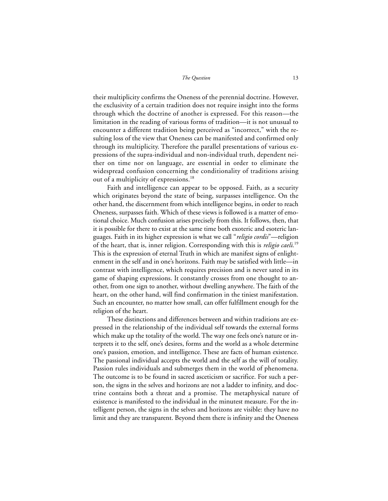their multiplicity confirms the Oneness of the perennial doctrine. However, the exclusivity of a certain tradition does not require insight into the forms through which the doctrine of another is expressed. For this reason—the limitation in the reading of various forms of tradition—it is not unusual to encounter a different tradition being perceived as "incorrect," with the resulting loss of the view that Oneness can be manifested and confirmed only through its multiplicity. Therefore the parallel presentations of various expressions of the supra-individual and non-individual truth, dependent neither on time nor on language, are essential in order to eliminate the widespread confusion concerning the conditionality of traditions arising out of a multiplicity of expressions.<sup>18</sup>

Faith and intelligence can appear to be opposed. Faith, as a security which originates beyond the state of being, surpasses intelligence. On the other hand, the discernment from which intelligence begins, in order to reach Oneness, surpasses faith. Which of these views is followed is a matter of emotional choice. Much confusion arises precisely from this. It follows, then, that it is possible for there to exist at the same time both exoteric and esoteric languages. Faith in its higher expression is what we call "*religio cordis*"—religion of the heart, that is, inner religion. Corresponding with this is *religio caeli*. 19 This is the expression of eternal Truth in which are manifest signs of enlightenment in the self and in one's horizons. Faith may be satisfied with little—in contrast with intelligence, which requires precision and is never sated in its game of shaping expressions. It constantly crosses from one thought to another, from one sign to another, without dwelling anywhere. The faith of the heart, on the other hand, will find confirmation in the tiniest manifestation. Such an encounter, no matter how small, can offer fulfillment enough for the religion of the heart.

These distinctions and differences between and within traditions are expressed in the relationship of the individual self towards the external forms which make up the totality of the world. The way one feels one's nature or interprets it to the self, one's desires, forms and the world as a whole determine one's passion, emotion, and intelligence. These are facts of human existence. The passional individual accepts the world and the self as the will of totality. Passion rules individuals and submerges them in the world of phenomena. The outcome is to be found in sacred asceticism or sacrifice. For such a person, the signs in the selves and horizons are not a ladder to infinity, and doctrine contains both a threat and a promise. The metaphysical nature of existence is manifested to the individual in the minutest measure. For the intelligent person, the signs in the selves and horizons are visible: they have no limit and they are transparent. Beyond them there is infinity and the Oneness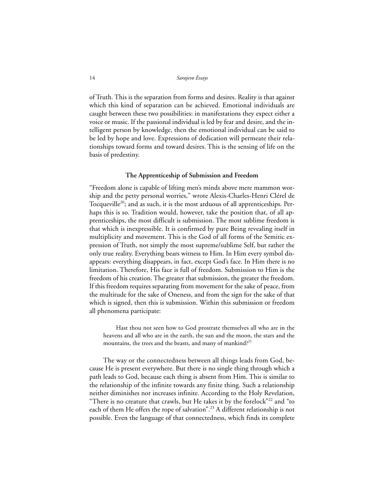of Truth. This is the separation from forms and desires. Reality is that against which this kind of separation can be achieved. Emotional individuals are caught between these two possibilities: in manifestations they expect either a voice or music. If the passional individual is led by fear and desire, and the intelligent person by knowledge, then the emotional individual can be said to be led by hope and love. Expressions of dedication will permeate their relationships toward forms and toward desires. This is the sensing of life on the basis of predestiny.

# **The Apprenticeship of Submission and Freedom**

"Freedom alone is capable of lifting men's minds above mere mammon worship and the petty personal worries," wrote Alexis-Charles-Henri Clérel de Tocqueville<sup>20</sup>; and as such, it is the most arduous of all apprenticeships. Perhaps this is so. Tradition would, however, take the position that, of all apprenticeships, the most difficult is submission. The most sublime freedom is that which is inexpressible. It is confirmed by pure Being revealing itself in multiplicity and movement. This is the God of all forms of the Semitic expression of Truth, not simply the most supreme/sublime Self, but rather the only true reality. Everything bears witness to Him. In Him every symbol disappears: everything disappears, in fact, except God's face. In Him there is no limitation. Therefore, His face is full of freedom. Submission to Him is the freedom of his creation. The greater that submission, the greater the freedom. If this freedom requires separating from movement for the sake of peace, from the multitude for the sake of Oneness, and from the sign for the sake of that which is signed, then this is submission. Within this submission or freedom all phenomena participate:

Hast thou not seen how to God prostrate themselves all who are in the heavens and all who are in the earth, the sun and the moon, the stars and the mountains, the trees and the beasts, and many of mankind?<sup>21</sup>

The way or the connectedness between all things leads from God, because He is present everywhere. But there is no single thing through which a path leads to God, because each thing is absent from Him. This is similar to the relationship of the infinite towards any finite thing. Such a relationship neither diminishes nor increases infinite. According to the Holy Revelation, "There is no creature that crawls, but He takes it by the forelock"<sup>22</sup> and "to" each of them He offers the rope of salvation".<sup>23</sup> A different relationship is not possible. Even the language of that connectedness, which finds its complete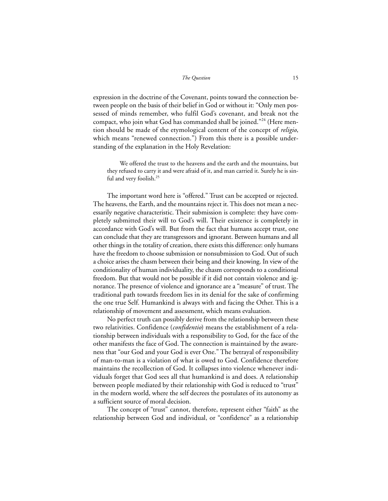expression in the doctrine of the Covenant, points toward the connection between people on the basis of their belief in God or without it: "Only men possessed of minds remember, who fulfil God's covenant, and break not the compact, who join what God has commanded shall be joined."<sup>24</sup> (Here mention should be made of the etymological content of the concept of *religio*, which means "renewed connection.") From this there is a possible understanding of the explanation in the Holy Revelation:

We offered the trust to the heavens and the earth and the mountains, but they refused to carry it and were afraid of it, and man carried it. Surely he is sinful and very foolish.25

The important word here is "offered." Trust can be accepted or rejected. The heavens, the Earth, and the mountains reject it. This does not mean a necessarily negative characteristic. Their submission is complete: they have completely submitted their will to God's will. Their existence is completely in accordance with God's will. But from the fact that humans accept trust, one can conclude that they are transgressors and ignorant. Between humans and all other things in the totality of creation, there exists this difference: only humans have the freedom to choose submission or nonsubmission to God. Out of such a choice arises the chasm between their being and their knowing. In view of the conditionality of human individuality, the chasm corresponds to a conditional freedom. But that would not be possible if it did not contain violence and ignorance. The presence of violence and ignorance are a "measure" of trust. The traditional path towards freedom lies in its denial for the sake of confirming the one true Self. Humankind is always with and facing the Other. This is a relationship of movement and assessment, which means evaluation.

No perfect truth can possibly derive from the relationship between these two relativities. Confidence (*confidentio*) means the establishment of a relationship between individuals with a responsibility to God, for the face of the other manifests the face of God. The connection is maintained by the awareness that "our God and your God is ever One." The betrayal of responsibility of man-to-man is a violation of what is owed to God. Confidence therefore maintains the recollection of God. It collapses into violence whenever individuals forget that God sees all that humankind is and does. A relationship between people mediated by their relationship with God is reduced to "trust" in the modern world, where the self decrees the postulates of its autonomy as a sufficient source of moral decision.

The concept of "trust" cannot, therefore, represent either "faith" as the relationship between God and individual, or "confidence" as a relationship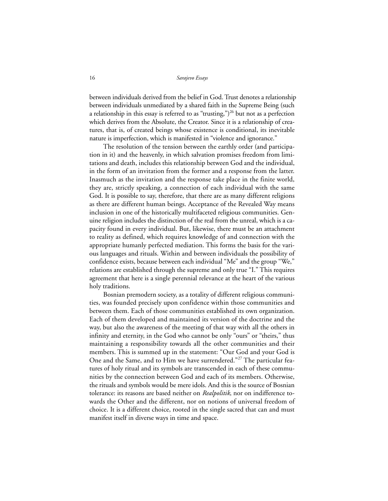between individuals derived from the belief in God. Trust denotes a relationship between individuals unmediated by a shared faith in the Supreme Being (such a relationship in this essay is referred to as "trusting,")<sup>26</sup> but not as a perfection which derives from the Absolute, the Creator. Since it is a relationship of creatures, that is, of created beings whose existence is conditional, its inevitable nature is imperfection, which is manifested in "violence and ignorance."

The resolution of the tension between the earthly order (and participation in it) and the heavenly, in which salvation promises freedom from limitations and death, includes this relationship between God and the individual, in the form of an invitation from the former and a response from the latter. Inasmuch as the invitation and the response take place in the finite world, they are, strictly speaking, a connection of each individual with the same God. It is possible to say, therefore, that there are as many different religions as there are different human beings. Acceptance of the Revealed Way means inclusion in one of the historically multifaceted religious communities. Genuine religion includes the distinction of the real from the unreal, which is a capacity found in every individual. But, likewise, there must be an attachment to reality as defined, which requires knowledge of and connection with the appropriate humanly perfected mediation. This forms the basis for the various languages and rituals. Within and between individuals the possibility of confidence exists, because between each individual "Me" and the group "We," relations are established through the supreme and only true "I." This requires agreement that here is a single perennial relevance at the heart of the various holy traditions.

Bosnian premodern society, as a totality of different religious communities, was founded precisely upon confidence within those communities and between them. Each of those communities established its own organization. Each of them developed and maintained its version of the doctrine and the way, but also the awareness of the meeting of that way with all the others in infinity and eternity, in the God who cannot be only "ours" or "theirs," thus maintaining a responsibility towards all the other communities and their members. This is summed up in the statement: "Our God and your God is One and the Same, and to Him we have surrendered."<sup>27</sup> The particular features of holy ritual and its symbols are transcended in each of these communities by the connection between God and each of its members. Otherwise, the rituals and symbols would be mere idols. And this is the source of Bosnian tolerance: its reasons are based neither on *Realpolitik*, nor on indifference towards the Other and the different, nor on notions of universal freedom of choice. It is a different choice, rooted in the single sacred that can and must manifest itself in diverse ways in time and space.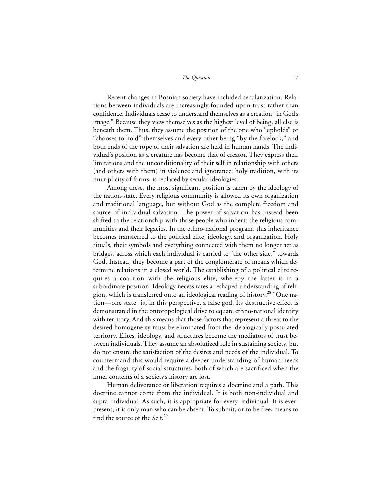Recent changes in Bosnian society have included secularization. Relations between individuals are increasingly founded upon trust rather than confidence. Individuals cease to understand themselves as a creation "in God's image." Because they view themselves as the highest level of being, all else is beneath them. Thus, they assume the position of the one who "upholds" or "chooses to hold" themselves and every other being "by the forelock," and both ends of the rope of their salvation are held in human hands. The individual's position as a creature has become that of creator. They express their limitations and the unconditionality of their self in relationship with others (and others with them) in violence and ignorance; holy tradition, with its multiplicity of forms, is replaced by secular ideologies.

Among these, the most significant position is taken by the ideology of the nation-state. Every religious community is allowed its own organization and traditional language, but without God as the complete freedom and source of individual salvation. The power of salvation has instead been shifted to the relationship with those people who inherit the religious communities and their legacies. In the ethno-national program, this inheritance becomes transferred to the political elite, ideology, and organization. Holy rituals, their symbols and everything connected with them no longer act as bridges, across which each individual is carried to "the other side," towards God. Instead, they become a part of the conglomerate of means which determine relations in a closed world. The establishing of a political elite requires a coalition with the religious elite, whereby the latter is in a subordinate position. Ideology necessitates a reshaped understanding of religion, which is transferred onto an ideological reading of history.<sup>28</sup> "One nation—one state" is, in this perspective, a false god. Its destructive effect is demonstrated in the ontotopological drive to equate ethno-national identity with territory. And this means that those factors that represent a threat to the desired homogeneity must be eliminated from the ideologically postulated territory. Elites, ideology, and structures become the mediators of trust between individuals. They assume an absolutized role in sustaining society, but do not ensure the satisfaction of the desires and needs of the individual. To countermand this would require a deeper understanding of human needs and the fragility of social structures, both of which are sacrificed when the inner contents of a society's history are lost.

Human deliverance or liberation requires a doctrine and a path. This doctrine cannot come from the individual. It is both non-individual and supra-individual. As such, it is appropriate for every individual. It is everpresent; it is only man who can be absent. To submit, or to be free, means to find the source of the Self.<sup>29</sup>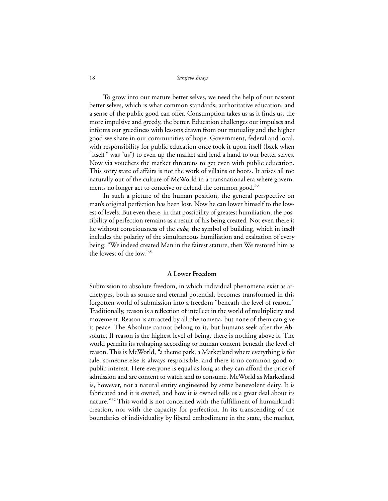To grow into our mature better selves, we need the help of our nascent better selves, which is what common standards, authoritative education, and a sense of the public good can offer. Consumption takes us as it finds us, the more impulsive and greedy, the better. Education challenges our impulses and informs our greediness with lessons drawn from our mutuality and the higher good we share in our communities of hope. Government, federal and local, with responsibility for public education once took it upon itself (back when "itself" was "us") to even up the market and lend a hand to our better selves. Now via vouchers the market threatens to get even with public education. This sorry state of affairs is not the work of villains or boors. It arises all too naturally out of the culture of McWorld in a transnational era where governments no longer act to conceive or defend the common good.<sup>30</sup>

In such a picture of the human position, the general perspective on man's original perfection has been lost. Now he can lower himself to the lowest of levels. But even there, in that possibility of greatest humiliation, the possibility of perfection remains as a result of his being created. Not even there is he without consciousness of the *cube*, the symbol of building, which in itself includes the polarity of the simultaneous humiliation and exaltation of every being: "We indeed created Man in the fairest stature, then We restored him as the lowest of the low."31

# **A Lower Freedom**

Submission to absolute freedom, in which individual phenomena exist as archetypes, both as source and eternal potential, becomes transformed in this forgotten world of submission into a freedom "beneath the level of reason." Traditionally, reason is a reflection of intellect in the world of multiplicity and movement. Reason is attracted by all phenomena, but none of them can give it peace. The Absolute cannot belong to it, but humans seek after the Absolute. If reason is the highest level of being, there is nothing above it. The world permits its reshaping according to human content beneath the level of reason. This is McWorld, "a theme park, a Marketland where everything is for sale, someone else is always responsible, and there is no common good or public interest. Here everyone is equal as long as they can afford the price of admission and are content to watch and to consume. McWorld as Marketland is, however, not a natural entity engineered by some benevolent deity. It is fabricated and it is owned, and how it is owned tells us a great deal about its nature."<sup>32</sup> This world is not concerned with the fulfillment of humankind's creation, nor with the capacity for perfection. In its transcending of the boundaries of individuality by liberal embodiment in the state, the market,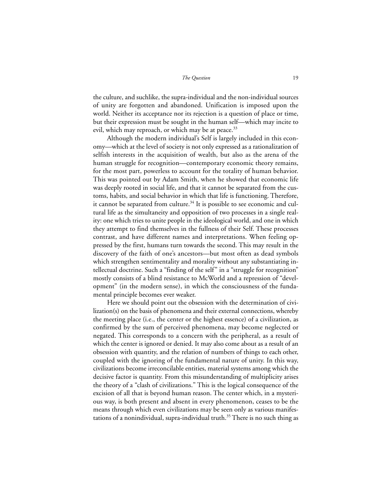the culture, and suchlike, the supra-individual and the non-individual sources of unity are forgotten and abandoned. Unification is imposed upon the world. Neither its acceptance nor its rejection is a question of place or time, but their expression must be sought in the human self—which may incite to evil, which may reproach, or which may be at peace.<sup>33</sup>

Although the modern individual's Self is largely included in this economy—which at the level of society is not only expressed as a rationalization of selfish interests in the acquisition of wealth, but also as the arena of the human struggle for recognition—contemporary economic theory remains, for the most part, powerless to account for the totality of human behavior. This was pointed out by Adam Smith, when he showed that economic life was deeply rooted in social life, and that it cannot be separated from the customs, habits, and social behavior in which that life is functioning. Therefore, it cannot be separated from culture.<sup>34</sup> It is possible to see economic and cultural life as the simultaneity and opposition of two processes in a single reality: one which tries to unite people in the ideological world, and one in which they attempt to find themselves in the fullness of their Self. These processes contrast, and have different names and interpretations. When feeling oppressed by the first, humans turn towards the second. This may result in the discovery of the faith of one's ancestors—but most often as dead symbols which strengthen sentimentality and morality without any substantiating intellectual doctrine. Such a "finding of the self" in a "struggle for recognition" mostly consists of a blind resistance to McWorld and a repression of "development" (in the modern sense), in which the consciousness of the fundamental principle becomes ever weaker.

Here we should point out the obsession with the determination of civilization(s) on the basis of phenomena and their external connections, whereby the meeting place (i.e., the center or the highest essence) of a civilization, as confirmed by the sum of perceived phenomena, may become neglected or negated. This corresponds to a concern with the peripheral, as a result of which the center is ignored or denied. It may also come about as a result of an obsession with quantity, and the relation of numbers of things to each other, coupled with the ignoring of the fundamental nature of unity. In this way, civilizations become irreconcilable entities, material systems among which the decisive factor is quantity. From this misunderstanding of multiplicity arises the theory of a "clash of civilizations." This is the logical consequence of the excision of all that is beyond human reason. The center which, in a mysterious way, is both present and absent in every phenomenon, ceases to be the means through which even civilizations may be seen only as various manifestations of a nonindividual, supra-individual truth.<sup>35</sup> There is no such thing as